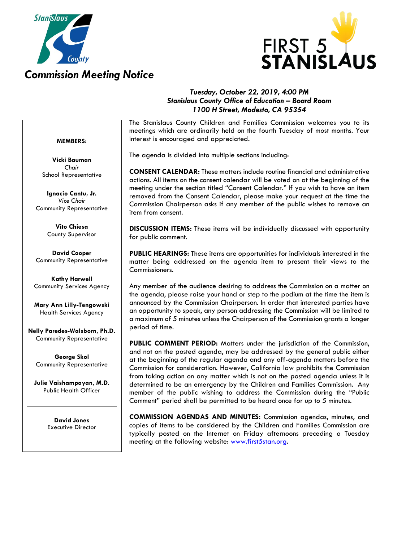

### *Commission Meeting Notice*



#### *Tuesday, October 22, 2019, 4:00 PM Stanislaus County Office of Education – Board Room 1100 H Street, Modesto, CA 95354*

#### **MEMBERS:**

**Vicki Bauman** *Chair* School Representative

**Ignacio Cantu, Jr.** *Vice Chair* Community Representative

> **Vito Chiesa** County Supervisor

**David Cooper** Community Representative

**Kathy Harwell** Community Services Agency

**Mary Ann Lilly-Tengowski** Health Services Agency

**Nelly Paredes-Walsborn, Ph.D.** Community Representative

**George Skol** Community Representative

**Julie Vaishampayan, M.D.** Public Health Officer

> **David Jones** Executive Director

The Stanislaus County Children and Families Commission welcomes you to its meetings which are ordinarily held on the fourth Tuesday of most months. Your interest is encouraged and appreciated.

The agenda is divided into multiple sections including:

**CONSENT CALENDAR:** These matters include routine financial and administrative actions. All items on the consent calendar will be voted on at the beginning of the meeting under the section titled "Consent Calendar." If you wish to have an item removed from the Consent Calendar, please make your request at the time the Commission Chairperson asks if any member of the public wishes to remove an item from consent.

**DISCUSSION ITEMS:** These items will be individually discussed with opportunity for public comment.

**PUBLIC HEARINGS:** These items are opportunities for individuals interested in the matter being addressed on the agenda item to present their views to the Commissioners.

Any member of the audience desiring to address the Commission on a matter on the agenda, please raise your hand or step to the podium at the time the item is announced by the Commission Chairperson. In order that interested parties have an opportunity to speak, any person addressing the Commission will be limited to a maximum of 5 minutes unless the Chairperson of the Commission grants a longer period of time.

**PUBLIC COMMENT PERIOD:** Matters under the jurisdiction of the Commission, and not on the posted agenda, may be addressed by the general public either at the beginning of the regular agenda and any off-agenda matters before the Commission for consideration. However, California law prohibits the Commission from taking action on any matter which is not on the posted agenda unless it is determined to be an emergency by the Children and Families Commission. Any member of the public wishing to address the Commission during the "Public Comment" period shall be permitted to be heard once for up to 5 minutes.

**COMMISSION AGENDAS AND MINUTES:** Commission agendas, minutes, and copies of items to be considered by the Children and Families Commission are typically posted on the Internet on Friday afternoons preceding a Tuesday meeting at the following website: [www.first5stan.org.](http://www.first5stan.org/)